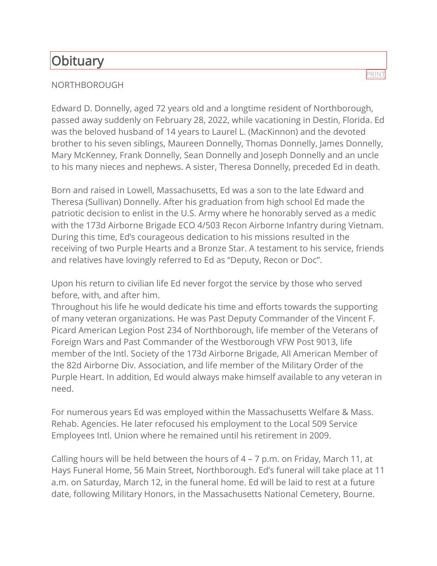## **Obituary**

## NORTHBOROUGH

Edward D. Donnelly, aged 72 years old and a longtime resident of Northborough, passed away suddenly on February 28, 2022, while vacationing in Destin, Florida. Ed was the beloved husband of 14 years to Laurel L. (MacKinnon) and the devoted brother to his seven siblings, Maureen Donnelly, Thomas Donnelly, James Donnelly, Mary McKenney, Frank Donnelly, Sean Donnelly and Joseph Donnelly and an uncle to his many nieces and nephews. A sister, Theresa Donnelly, preceded Ed in death.

Born and raised in Lowell, Massachusetts, Ed was a son to the late Edward and Theresa (Sullivan) Donnelly. After his graduation from high school Ed made the patriotic decision to enlist in the U.S. Army where he honorably served as a medic with the 173d Airborne Brigade ECO 4/503 Recon Airborne Infantry during Vietnam. During this time, Ed's courageous dedication to his missions resulted in the receiving of two Purple Hearts and a Bronze Star. A testament to his service, friends and relatives have lovingly referred to Ed as "Deputy, Recon or Doc".

Upon his return to civilian life Ed never forgot the service by those who served before, with, and after him.

Throughout his life he would dedicate his time and efforts towards the supporting of many veteran organizations. He was Past Deputy Commander of the Vincent F. Picard American Legion Post 234 of Northborough, life member of the Veterans of Foreign Wars and Past Commander of the Westborough VFW Post 9013, life member of the Intl. Society of the 173d Airborne Brigade, All American Member of the 82d Airborne Div. Association, and life member of the Military Order of the Purple Heart. In addition, Ed would always make himself available to any veteran in need.

For numerous years Ed was employed within the Massachusetts Welfare & Mass. Rehab. Agencies. He later refocused his employment to the Local 509 Service Employees Intl. Union where he remained until his retirement in 2009.

Calling hours will be held between the hours of 4 – 7 p.m. on Friday, March 11, at Hays Funeral Home, 56 Main Street, Northborough. Ed's funeral will take place at 11 a.m. on Saturday, March 12, in the funeral home. Ed will be laid to rest at a future date, following Military Honors, in the Massachusetts National Cemetery, Bourne.